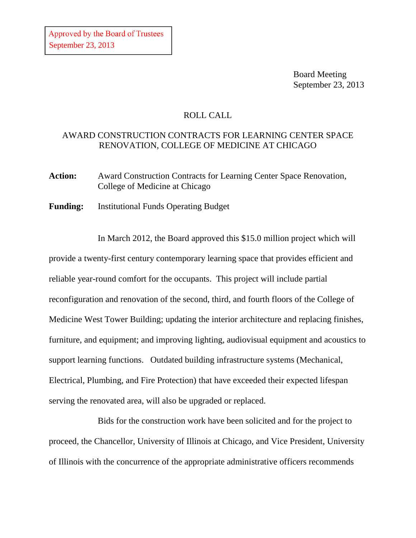Board Meeting September 23, 2013

## ROLL CALL

## AWARD CONSTRUCTION CONTRACTS FOR LEARNING CENTER SPACE RENOVATION, COLLEGE OF MEDICINE AT CHICAGO

Action: Award Construction Contracts for Learning Center Space Renovation, College of Medicine at Chicago

**Funding:** Institutional Funds Operating Budget

In March 2012, the Board approved this \$15.0 million project which will provide a twenty-first century contemporary learning space that provides efficient and reliable year-round comfort for the occupants. This project will include partial reconfiguration and renovation of the second, third, and fourth floors of the College of Medicine West Tower Building; updating the interior architecture and replacing finishes, furniture, and equipment; and improving lighting, audiovisual equipment and acoustics to support learning functions. Outdated building infrastructure systems (Mechanical, Electrical, Plumbing, and Fire Protection) that have exceeded their expected lifespan serving the renovated area, will also be upgraded or replaced.

Bids for the construction work have been solicited and for the project to proceed, the Chancellor, University of Illinois at Chicago, and Vice President, University of Illinois with the concurrence of the appropriate administrative officers recommends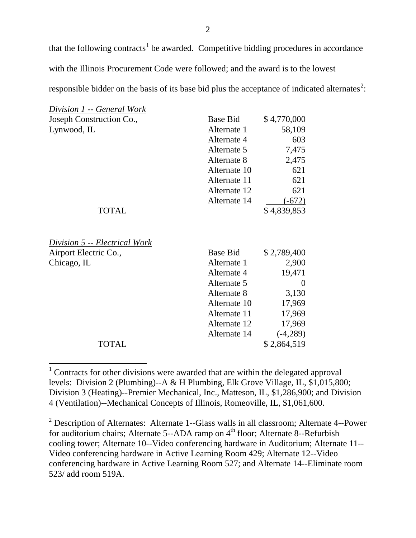that the following contracts<sup>[1](#page-1-0)</sup> be awarded. Competitive bidding procedures in accordance with the Illinois Procurement Code were followed; and the award is to the lowest responsible bidder on the basis of its base bid plus the acceptance of indicated alternates<sup>[2](#page-1-1)</sup>:

| <i>Division 1 -- General Work</i> |                 |             |
|-----------------------------------|-----------------|-------------|
| Joseph Construction Co.,          | <b>Base Bid</b> | \$4,770,000 |
| Lynwood, IL                       | Alternate 1     | 58,109      |
|                                   | Alternate 4     | 603         |
|                                   | Alternate 5     | 7,475       |
|                                   | Alternate 8     | 2,475       |
|                                   | Alternate 10    | 621         |
|                                   | Alternate 11    | 621         |
|                                   | Alternate 12    | 621         |
|                                   | Alternate 14    | $(-672)$    |
| <b>TOTAL</b>                      |                 | \$4,839,853 |
| Division 5 -- Electrical Work     |                 |             |
| Airport Electric Co.,             | Base Bid        | \$2,789,400 |
| Chicago, IL                       | Alternate 1     | 2,900       |
|                                   | Alternate 4     | 19,471      |
|                                   | Alternate 5     | 0           |
|                                   | Alternate 8     | 3,130       |
|                                   | Alternate 10    | 17,969      |
|                                   | Alternate 11    | 17,969      |
|                                   | Alternate 12    | 17,969      |
|                                   | Alternate 14    | $(-4,289)$  |
| TOTAL                             |                 | \$2,864,519 |

<span id="page-1-0"></span><sup>&</sup>lt;sup>1</sup> Contracts for other divisions were awarded that are within the delegated approval levels: Division 2 (Plumbing)--A & H Plumbing, Elk Grove Village, IL, \$1,015,800; Division 3 (Heating)--Premier Mechanical, Inc., Matteson, IL, \$1,286,900; and Division 4 (Ventilation)--Mechanical Concepts of Illinois, Romeoville, IL, \$1,061,600.

<span id="page-1-1"></span><sup>2</sup> Description of Alternates: Alternate 1--Glass walls in all classroom; Alternate 4--Power for auditorium chairs; Alternate 5--ADA ramp on 4<sup>th</sup> floor; Alternate 8--Refurbish cooling tower; Alternate 10--Video conferencing hardware in Auditorium; Alternate 11-- Video conferencing hardware in Active Learning Room 429; Alternate 12--Video conferencing hardware in Active Learning Room 527; and Alternate 14--Eliminate room 523/ add room 519A.